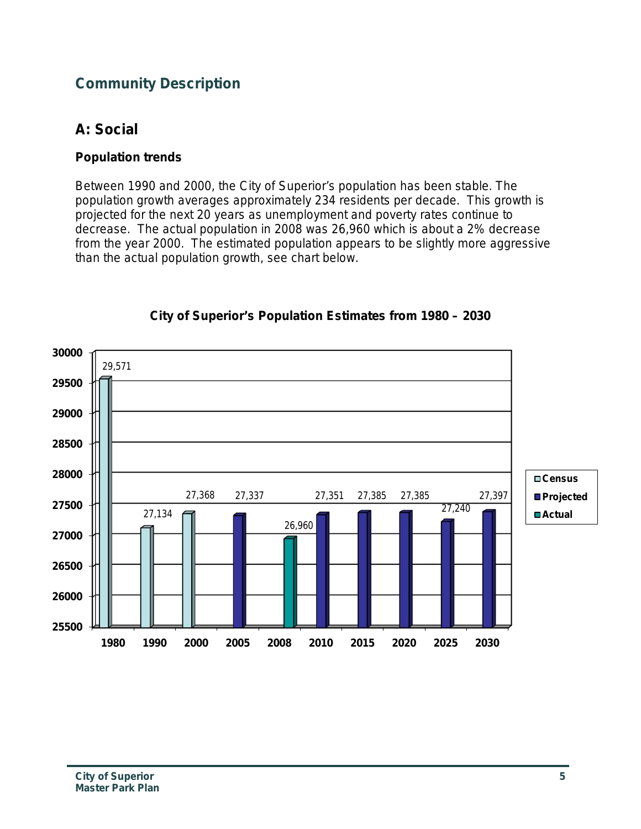# **Community Description**

## **A: Social**

### **Population trends**

Between 1990 and 2000, the City of Superior's population has been stable. The population growth averages approximately 234 residents per decade. This growth is projected for the next 20 years as unemployment and poverty rates continue to decrease. The actual population in 2008 was 26,960 which is about a 2% decrease from the year 2000. The estimated population appears to be slightly more aggressive than the actual population growth, see chart below.



#### **City of Superior's Population Estimates from 1980 – 2030**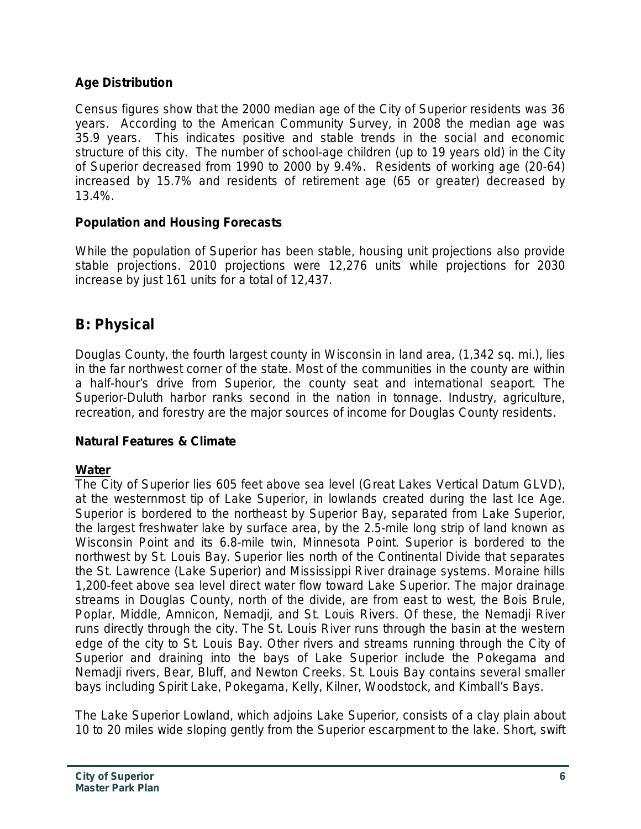#### **Age Distribution**

Census figures show that the 2000 median age of the City of Superior residents was 36 years. According to the American Community Survey, in 2008 the median age was 35.9 years. This indicates positive and stable trends in the social and economic structure of this city. The number of school-age children (up to 19 years old) in the City of Superior decreased from 1990 to 2000 by 9.4%. Residents of working age (20-64) increased by 15.7% and residents of retirement age (65 or greater) decreased by 13.4%.

### **Population and Housing Forecasts**

While the population of Superior has been stable, housing unit projections also provide stable projections. 2010 projections were 12,276 units while projections for 2030 increase by just 161 units for a total of 12,437.

# **B: Physical**

Douglas County, the fourth largest county in Wisconsin in land area, (1,342 sq. mi.), lies in the far northwest corner of the state. Most of the communities in the county are within a half-hour's drive from Superior, the county seat and international seaport. The Superior-Duluth harbor ranks second in the nation in tonnage. Industry, agriculture, recreation, and forestry are the major sources of income for Douglas County residents.

#### **Natural Features & Climate**

## **Water**

The City of Superior lies 605 feet above sea level (Great Lakes Vertical Datum GLVD), at the westernmost tip of Lake Superior, in lowlands created during the last Ice Age. Superior is bordered to the northeast by Superior Bay, separated from Lake Superior, the largest freshwater lake by surface area, by the 2.5-mile long strip of land known as Wisconsin Point and its 6.8-mile twin, Minnesota Point. Superior is bordered to the northwest by St. Louis Bay. Superior lies north of the Continental Divide that separates the St. Lawrence (Lake Superior) and Mississippi River drainage systems. Moraine hills 1,200-feet above sea level direct water flow toward Lake Superior. The major drainage streams in Douglas County, north of the divide, are from east to west, the Bois Brule, Poplar, Middle, Amnicon, Nemadji, and St. Louis Rivers. Of these, the Nemadji River runs directly through the city. The St. Louis River runs through the basin at the western edge of the city to St. Louis Bay. Other rivers and streams running through the City of Superior and draining into the bays of Lake Superior include the Pokegama and Nemadji rivers, Bear, Bluff, and Newton Creeks. St. Louis Bay contains several smaller bays including Spirit Lake, Pokegama, Kelly, Kilner, Woodstock, and Kimball's Bays.

The Lake Superior Lowland, which adjoins Lake Superior, consists of a clay plain about 10 to 20 miles wide sloping gently from the Superior escarpment to the lake. Short, swift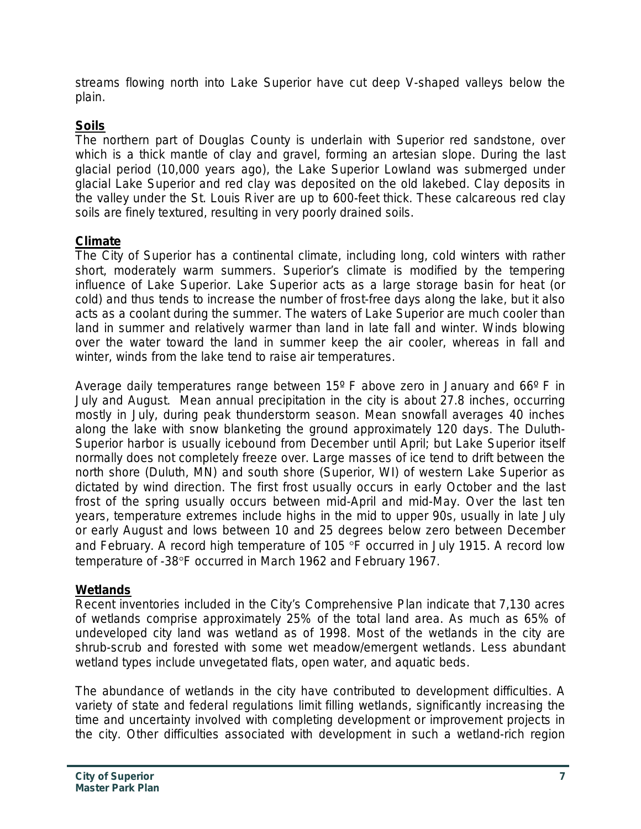streams flowing north into Lake Superior have cut deep V-shaped valleys below the plain.

### **Soils**

The northern part of Douglas County is underlain with Superior red sandstone, over which is a thick mantle of clay and gravel, forming an artesian slope. During the last glacial period (10,000 years ago), the Lake Superior Lowland was submerged under glacial Lake Superior and red clay was deposited on the old lakebed. Clay deposits in the valley under the St. Louis River are up to 600-feet thick. These calcareous red clay soils are finely textured, resulting in very poorly drained soils.

### **Climate**

The City of Superior has a continental climate, including long, cold winters with rather short, moderately warm summers. Superior's climate is modified by the tempering influence of Lake Superior. Lake Superior acts as a large storage basin for heat (or cold) and thus tends to increase the number of frost-free days along the lake, but it also acts as a coolant during the summer. The waters of Lake Superior are much cooler than land in summer and relatively warmer than land in late fall and winter. Winds blowing over the water toward the land in summer keep the air cooler, whereas in fall and winter, winds from the lake tend to raise air temperatures.

Average daily temperatures range between 15º F above zero in January and 66º F in July and August. Mean annual precipitation in the city is about 27.8 inches, occurring mostly in July, during peak thunderstorm season. Mean snowfall averages 40 inches along the lake with snow blanketing the ground approximately 120 days. The Duluth-Superior harbor is usually icebound from December until April; but Lake Superior itself normally does not completely freeze over. Large masses of ice tend to drift between the north shore (Duluth, MN) and south shore (Superior, WI) of western Lake Superior as dictated by wind direction. The first frost usually occurs in early October and the last frost of the spring usually occurs between mid-April and mid-May. Over the last ten years, temperature extremes include highs in the mid to upper 90s, usually in late July or early August and lows between 10 and 25 degrees below zero between December and February. A record high temperature of 105 °F occurred in July 1915. A record low temperature of -38°F occurred in March 1962 and February 1967.

#### **Wetlands**

Recent inventories included in the City's Comprehensive Plan indicate that 7,130 acres of wetlands comprise approximately 25% of the total land area. As much as 65% of undeveloped city land was wetland as of 1998. Most of the wetlands in the city are shrub-scrub and forested with some wet meadow/emergent wetlands. Less abundant wetland types include unvegetated flats, open water, and aquatic beds.

The abundance of wetlands in the city have contributed to development difficulties. A variety of state and federal regulations limit filling wetlands, significantly increasing the time and uncertainty involved with completing development or improvement projects in the city. Other difficulties associated with development in such a wetland-rich region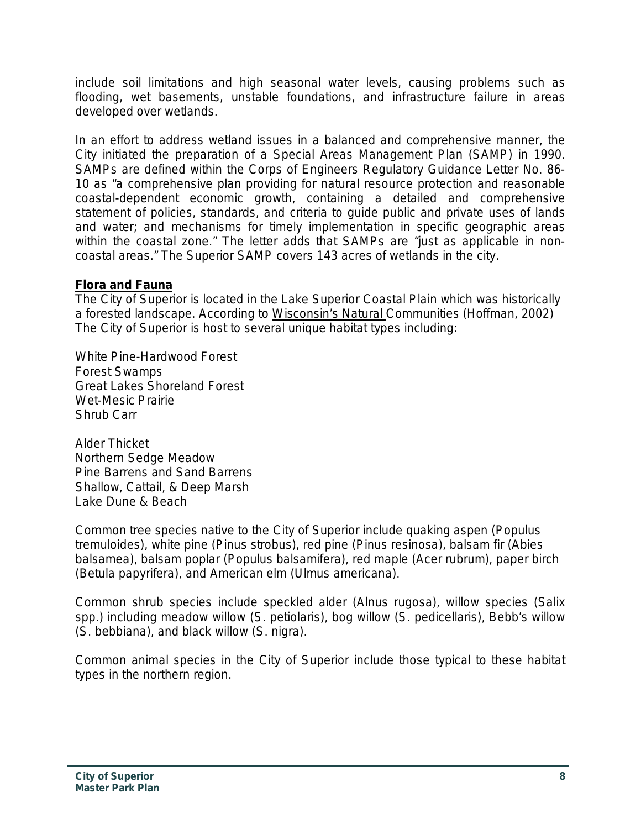include soil limitations and high seasonal water levels, causing problems such as flooding, wet basements, unstable foundations, and infrastructure failure in areas developed over wetlands.

In an effort to address wetland issues in a balanced and comprehensive manner, the City initiated the preparation of a Special Areas Management Plan (SAMP) in 1990. SAMPs are defined within the Corps of Engineers Regulatory Guidance Letter No. 86- 10 as "a comprehensive plan providing for natural resource protection and reasonable coastal-dependent economic growth, containing a detailed and comprehensive statement of policies, standards, and criteria to guide public and private uses of lands and water; and mechanisms for timely implementation in specific geographic areas within the coastal zone." The letter adds that SAMPs are "just as applicable in noncoastal areas." The Superior SAMP covers 143 acres of wetlands in the city.

#### **Flora and Fauna**

The City of Superior is located in the Lake Superior Coastal Plain which was historically a forested landscape. According to Wisconsin's Natural Communities (Hoffman, 2002) The City of Superior is host to several unique habitat types including:

White Pine-Hardwood Forest Forest Swamps Great Lakes Shoreland Forest Wet-Mesic Prairie Shrub Carr

Alder Thicket Northern Sedge Meadow Pine Barrens and Sand Barrens Shallow, Cattail, & Deep Marsh Lake Dune & Beach

Common tree species native to the City of Superior include quaking aspen (*Populus tremuloides*), white pine (*Pinus strobus*), red pine (*Pinus resinosa*), balsam fir (*Abies balsamea*), balsam poplar (*Populus balsamifera*), red maple (*Acer rubrum*), paper birch (*Betula papyrifera*), and American elm (*Ulmus americana*).

Common shrub species include speckled alder (*Alnus rugosa*), willow species (*Salix spp.*) including meadow willow (*S. petiolaris*), bog willow (*S. pedicellaris*), Bebb's willow (*S. bebbiana*), and black willow (*S. nigra*).

Common animal species in the City of Superior include those typical to these habitat types in the northern region.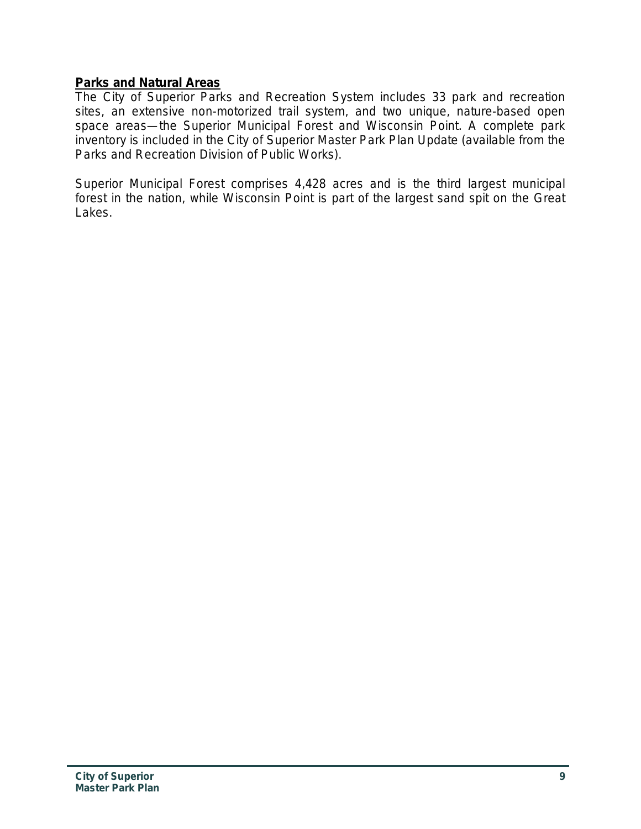#### **Parks and Natural Areas**

The City of Superior Parks and Recreation System includes 33 park and recreation sites, an extensive non-motorized trail system, and two unique, nature-based open space areas—the Superior Municipal Forest and Wisconsin Point. A complete park inventory is included in the City of Superior Master Park Plan Update (available from the Parks and Recreation Division of Public Works).

Superior Municipal Forest comprises 4,428 acres and is the third largest municipal forest in the nation, while Wisconsin Point is part of the largest sand spit on the Great Lakes.